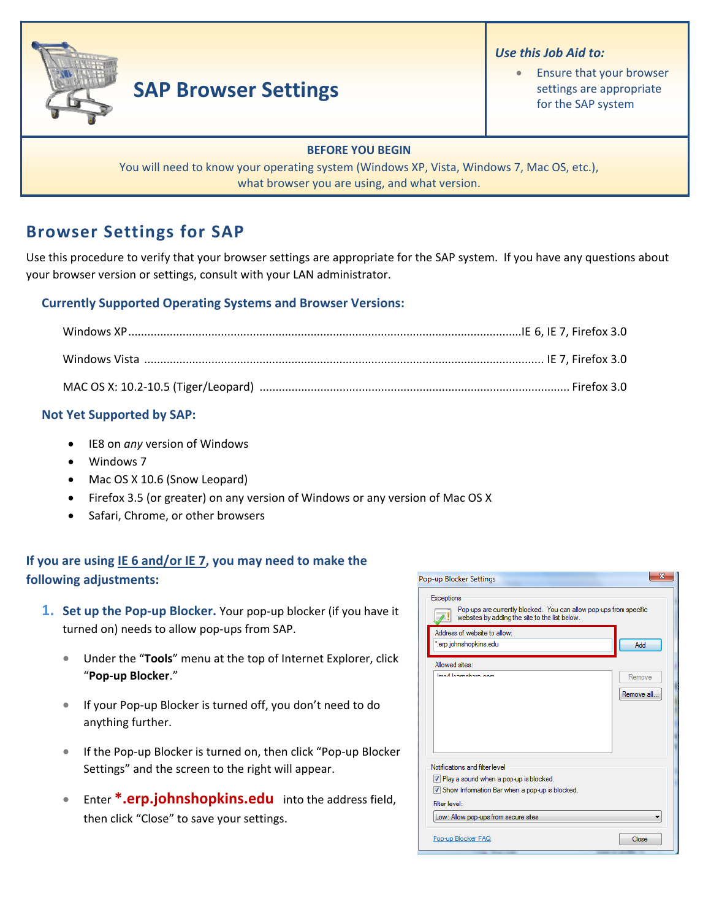

# **SAP Browser Settings**

#### *Use this Job Aid to:*

• Ensure that your browser settings are appropriate for the SAP system

#### **BEFORE YOU BEGIN**

You will need to know your operating system (Windows XP, Vista, Windows 7, Mac OS, etc.), what browser you are using, and what version.

## **Browser Settings for SAP**

Use this procedure to verify that your browser settings are appropriate for the SAP system. If you have any questions about your browser version or settings, consult with your LAN administrator.

#### **Currently Supported Operating Systems and Browser Versions:**

#### **Not Yet Supported by SAP:**

- IE8 on *any* version of Windows
- Windows 7
- Mac OS X 10.6 (Snow Leopard)
- Firefox 3.5 (or greater) on any version of Windows or any version of Mac OS X
- Safari, Chrome, or other browsers

### **If you are using IE 6 and/or IE 7, you may need to make the following adjustments:**

- **1. Set up the Pop‐up Blocker.** Your pop‐up blocker (if you have it turned on) needs to allow pop-ups from SAP.
	- Under the "**Tools**" menu at the top of Internet Explorer, click "**Pop‐up Blocker**."
	- If your Pop-up Blocker is turned off, you don't need to do anything further.
	- If the Pop‐up Blocker is turned on, then click "Pop‐up Blocker Settings" and the screen to the right will appear.
	- Enter **\*.erp.johnshopkins.edu** into the address field, then click "Close" to save your settings.

| <b>Exceptions</b><br>Pop-ups are currently blocked. You can allow pop-ups from specific<br>websites by adding the site to the list below. |             |
|-------------------------------------------------------------------------------------------------------------------------------------------|-------------|
| Address of website to allow:                                                                                                              |             |
| *.erp.johnshopkins.edu                                                                                                                    | Add         |
| Allowed sites:                                                                                                                            |             |
| losa Allamanahman noon                                                                                                                    | Remove      |
|                                                                                                                                           | Remove all. |
|                                                                                                                                           |             |
|                                                                                                                                           |             |
|                                                                                                                                           |             |
|                                                                                                                                           |             |
|                                                                                                                                           |             |
| Notifications and filter level                                                                                                            |             |
| V Play a sound when a pop-up is blocked.                                                                                                  |             |
| Show Information Bar when a pop-up is blocked.                                                                                            |             |
| Filter level:                                                                                                                             |             |
| Low: Allow pop-ups from secure sites                                                                                                      |             |
|                                                                                                                                           |             |
|                                                                                                                                           |             |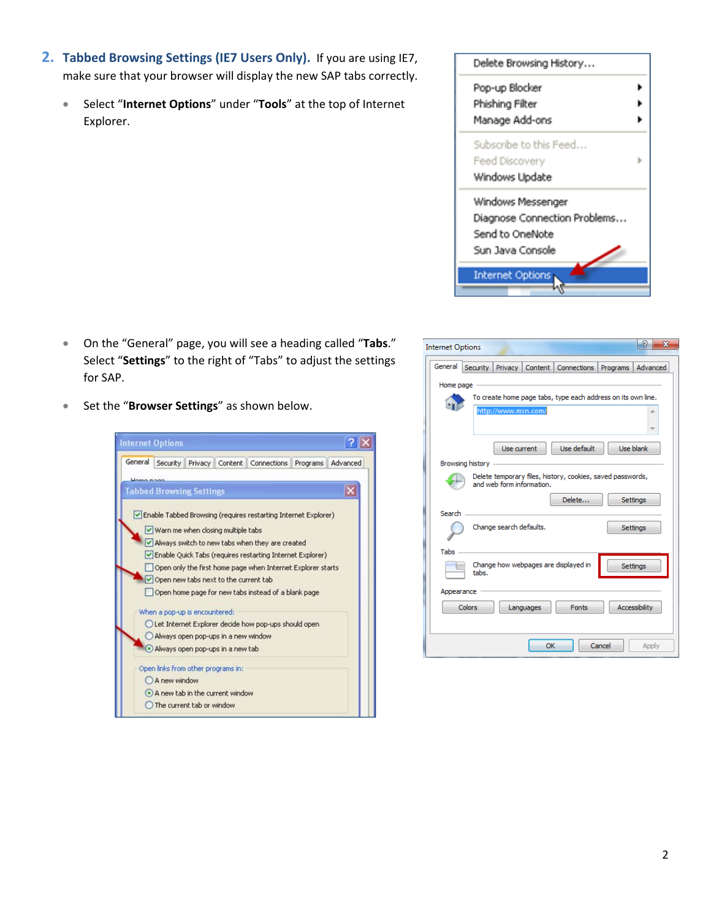- **2. Tabbed Browsing Settings (IE7 Users Only).** If you are using IE7, make sure that your browser will display the new SAP tabs correctly.
	- Select "**Internet Options**" under "**Tools**" at the top of Internet Explorer.



- On the "General" page, you will see a heading called "**Tabs**." Select "**Settings**" to the right of "Tabs" to adjust the settings for SAP.
- Set the "**Browser Settings**" as shown below.



| X<br><b>Internet Options</b>                                                            |
|-----------------------------------------------------------------------------------------|
| General<br>Security  <br>Advanced<br>Privacy Content<br>Connections<br>Programs         |
| Home page                                                                               |
| To create home page tabs, type each address on its own line.<br>http://www.msn.com/     |
|                                                                                         |
| Use default<br>Use blank<br>Use current                                                 |
| Browsing history                                                                        |
| Delete temporary files, history, cookies, saved passwords,<br>and web form information. |
| Delete<br><b>Settings</b><br>Search                                                     |
| Change search defaults.<br>Settings                                                     |
| Tabs                                                                                    |
| Change how webpages are displayed in<br>Settings<br>tabs.                               |
| Appearance                                                                              |
| <b>Colors</b><br>Accessibility<br><b>Fonts</b><br>Languages                             |
| OK<br>Cancel<br>Apply                                                                   |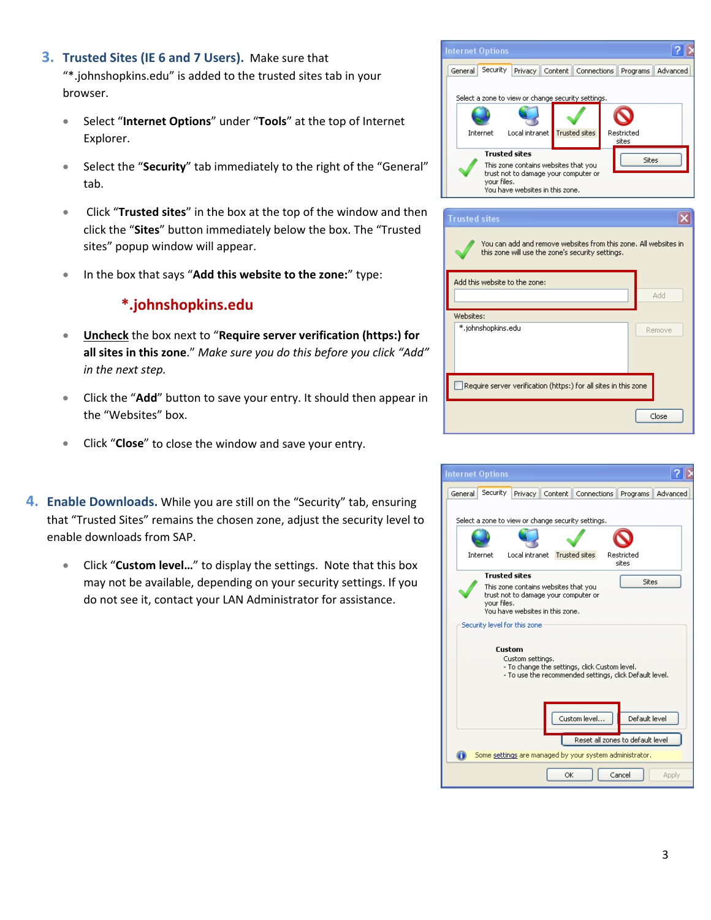- **3. Trusted Sites (IE 6 and 7 Users).** Make sure that "\*.johnshopkins.edu" is added to the trusted sites tab in your browser.
	- Select "**Internet Options**" under "**Tools**" at the top of Internet Explorer.
	- Select the "**Security**" tab immediately to the right of the "General" tab.
	- Click "**Trusted sites**" in the box at the top of the window and then click the "**Sites**" button immediately below the box. The "Trusted sites" popup window will appear.
	- In the box that says "**Add this website to the zone:**" type:

### **\*.johnshopkins.edu**

- **Uncheck** the box next to "**Require server verification (https:) for all sites in this zone**." *Make sure you do this before you click "Add" in the next step.*
- Click the "**Add**" button to save your entry. It should then appear in the "Websites" box.
- Click "**Close**" to close the window and save your entry.
- **4. Enable Downloads.** While you are still on the "Security" tab, ensuring that "Trusted Sites" remains the chosen zone, adjust the security level to enable downloads from SAP.
	- Click "**Custom level…**" to display the settings. Note that this box may not be available, depending on your security settings. If you do not see it, contact your LAN Administrator for assistance.

| nternet Options |                                     |                                                                                                                 |         |                      |                     |          |
|-----------------|-------------------------------------|-----------------------------------------------------------------------------------------------------------------|---------|----------------------|---------------------|----------|
| General         | Security                            | Privacy                                                                                                         | Content | Connections          | Programs            | Advanced |
|                 | Internet                            | Select a zone to view or change security settings,<br>Local intranet                                            |         | <b>Trusted sites</b> | Restricted<br>sites |          |
|                 | <b>Trusted sites</b><br>your files. | This zone contains websites that you<br>trust not to damage your computer or<br>You have websites in this zone. |         |                      | Sites               |          |

| <b>Trusted sites</b>                                                                                                |        |  |  |
|---------------------------------------------------------------------------------------------------------------------|--------|--|--|
| You can add and remove websites from this zone. All websites in<br>this zone will use the zone's security settings. |        |  |  |
| Add this website to the zone:                                                                                       |        |  |  |
|                                                                                                                     | Add    |  |  |
| Websites:                                                                                                           |        |  |  |
| *.johnshopkins.edu                                                                                                  | Remove |  |  |
|                                                                                                                     |        |  |  |
|                                                                                                                     |        |  |  |
| Require server verification (https:) for all sites in this zone                                                     |        |  |  |
|                                                                                                                     | Close  |  |  |

| <b>Internet Options</b>                                                                                                                |  |  |
|----------------------------------------------------------------------------------------------------------------------------------------|--|--|
| Security<br>Content   Connections<br>General<br>Privacy   <br>Programs<br>Advanced                                                     |  |  |
|                                                                                                                                        |  |  |
| Select a zone to view or change security settings.                                                                                     |  |  |
|                                                                                                                                        |  |  |
| Local intranet<br>Trusted sites<br>Internet<br>Restricted<br>sites                                                                     |  |  |
| <b>Trusted sites</b><br>Sites                                                                                                          |  |  |
| This zone contains websites that you<br>trust not to damage your computer or<br>your files.<br>You have websites in this zone.         |  |  |
| Security level for this zone                                                                                                           |  |  |
| Custom<br>Custom settings.<br>- To change the settings, click Custom level.<br>- To use the recommended settings, click Default level. |  |  |
| Custom level<br>Default level                                                                                                          |  |  |
| Reset all zones to default level                                                                                                       |  |  |
| Some settings are managed by your system administrator.                                                                                |  |  |
| Cancel<br>OK<br>Apply                                                                                                                  |  |  |